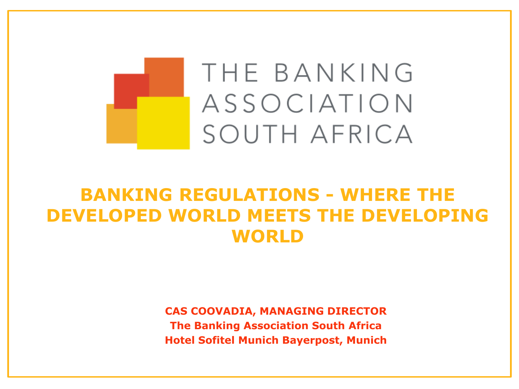

#### **BANKING REGULATIONS - WHERE THE DEVELOPED WORLD MEETS THE DEVELOPING WORLD**

**CAS COOVADIA, MANAGING DIRECTOR The Banking Association South Africa Hotel Sofitel Munich Bayerpost, Munich**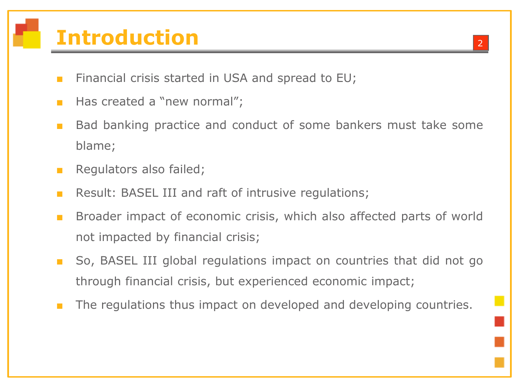# **Introduction**

- Financial crisis started in USA and spread to EU;
- Has created a "new normal";
- Bad banking practice and conduct of some bankers must take some blame;
- Regulators also failed;
- Result: BASEL III and raft of intrusive regulations;
- Broader impact of economic crisis, which also affected parts of world not impacted by financial crisis;
- So, BASEL III global regulations impact on countries that did not go through financial crisis, but experienced economic impact;
- The regulations thus impact on developed and developing countries.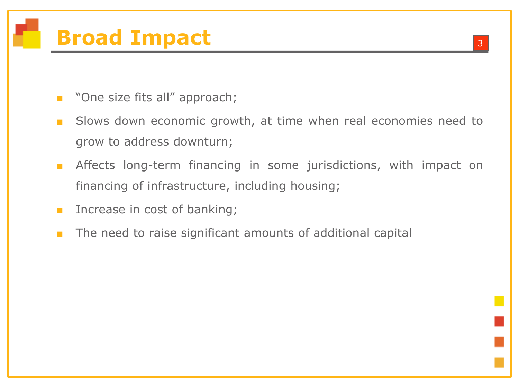# **Broad Impact** <sup>3</sup>

- "One size fits all" approach;
- Slows down economic growth, at time when real economies need to grow to address downturn;
- **■** Affects long-term financing in some jurisdictions, with impact on financing of infrastructure, including housing;
- Increase in cost of banking;
- The need to raise significant amounts of additional capital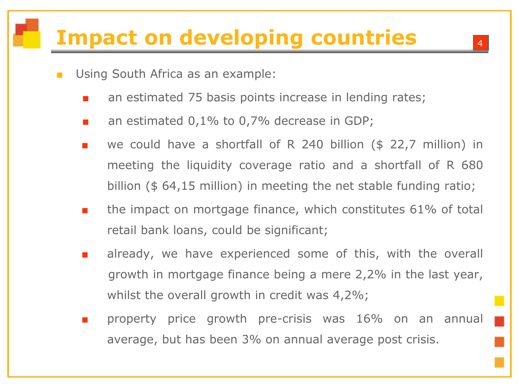## **Impact on developing countries**

- Using South Africa as an example:
	- an estimated 75 basis points increase in lending rates;
	- an estimated  $0.1\%$  to 0.7% decrease in GDP;
	- we could have a shortfall of R 240 billion ( $$ 22,7$  million) in meeting the liquidity coverage ratio and a shortfall of R 680 billion (\$ 64,15 million) in meeting the net stable funding ratio;
	- the impact on mortgage finance, which constitutes 61% of total retail bank loans, could be significant;
	- already, we have experienced some of this, with the overall growth in mortgage finance being a mere 2,2% in the last year, whilst the overall growth in credit was 4,2%;
	- property price growth pre-crisis was 16% on an annual average, but has been 3% on annual average post crisis.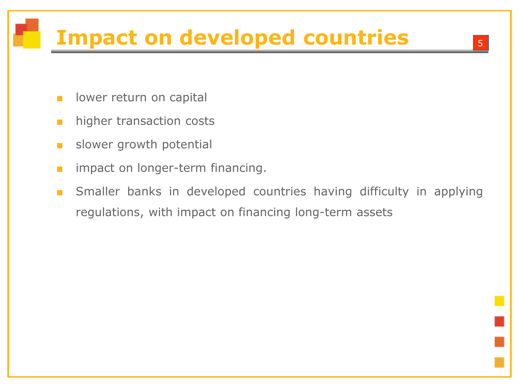# **Impact on developed countries**

- lower return on capital
- higher transaction costs
- **■** slower growth potential
- impact on longer-term financing.
- Smaller banks in developed countries having difficulty in applying regulations, with impact on financing long-term assets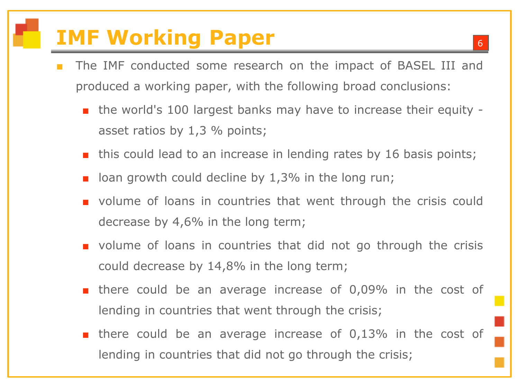## **IMF Working Paper**

- The IMF conducted some research on the impact of BASEL III and produced a working paper, with the following broad conclusions:
	- the world's 100 largest banks may have to increase their equity asset ratios by 1,3 % points;
	- this could lead to an increase in lending rates by 16 basis points;
	- $\blacksquare$  loan growth could decline by 1,3% in the long run;
	- volume of loans in countries that went through the crisis could decrease by 4,6% in the long term;
	- volume of loans in countries that did not go through the crisis could decrease by 14,8% in the long term;
	- there could be an average increase of 0,09% in the cost of lending in countries that went through the crisis;
	- there could be an average increase of 0,13% in the cost of lending in countries that did not go through the crisis;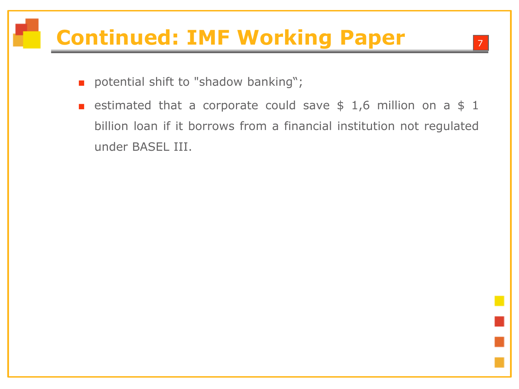# **Continued: IMF Working Paper**

- potential shift to "shadow banking";
- estimated that a corporate could save  $$ 1,6$  million on a  $$ 1$ billion loan if it borrows from a financial institution not regulated under BASEL III.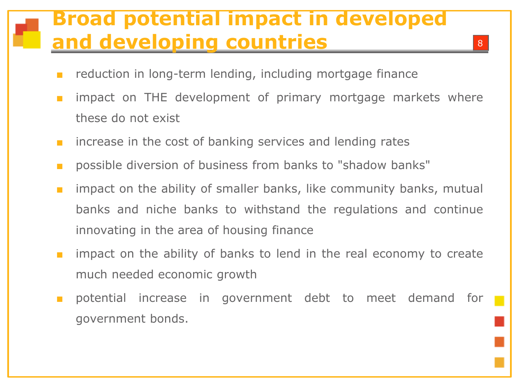#### **Broad potential impact in developed and developing countries**

- reduction in long-term lending, including mortgage finance
- impact on THE development of primary mortgage markets where these do not exist
- increase in the cost of banking services and lending rates
- possible diversion of business from banks to "shadow banks"
- impact on the ability of smaller banks, like community banks, mutual banks and niche banks to withstand the regulations and continue innovating in the area of housing finance
- impact on the ability of banks to lend in the real economy to create much needed economic growth
- potential increase in government debt to meet demand for government bonds.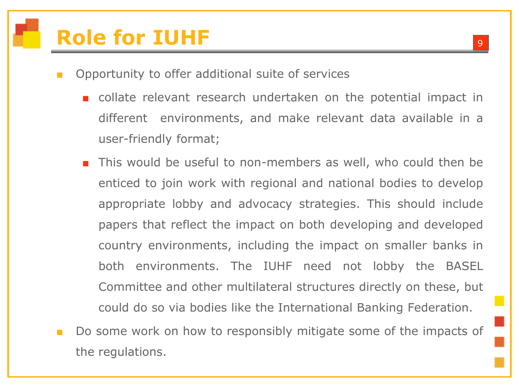# **Role for IUHF**

- Opportunity to offer additional suite of services
	- collate relevant research undertaken on the potential impact in different environments, and make relevant data available in a user-friendly format;
	- This would be useful to non-members as well, who could then be enticed to join work with regional and national bodies to develop appropriate lobby and advocacy strategies. This should include papers that reflect the impact on both developing and developed country environments, including the impact on smaller banks in both environments. The IUHF need not lobby the BASEL Committee and other multilateral structures directly on these, but could do so via bodies like the International Banking Federation.
- Do some work on how to responsibly mitigate some of the impacts of the regulations.